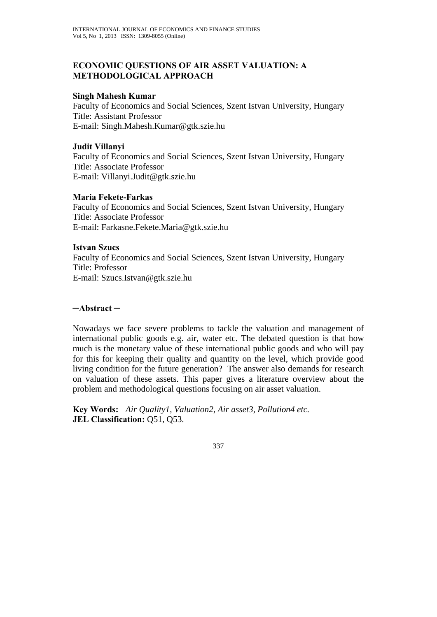# **ECONOMIC QUESTIONS OF AIR ASSET VALUATION: A METHODOLOGICAL APPROACH**

## **Singh Mahesh Kumar**

Faculty of Economics and Social Sciences, Szent Istvan University, Hungary Title: Assistant Professor E-mail: Singh.Mahesh.Kumar@gtk.szie.hu

## **Judit Villanyi**

Faculty of Economics and Social Sciences, Szent Istvan University, Hungary Title: Associate Professor E-mail: Villanyi.Judit@gtk.szie.hu

## **Maria Fekete-Farkas**

Faculty of Economics and Social Sciences, Szent Istvan University, Hungary Title: Associate Professor E-mail: Farkasne.Fekete.Maria@gtk.szie.hu

## **Istvan Szucs**

Faculty of Economics and Social Sciences, Szent Istvan University, Hungary Title: Professor E-mail: Szucs.Istvan@gtk.szie.hu

## **─Abstract ─**

Nowadays we face severe problems to tackle the valuation and management of international public goods e.g. air, water etc. The debated question is that how much is the monetary value of these international public goods and who will pay for this for keeping their quality and quantity on the level, which provide good living condition for the future generation? The answer also demands for research on valuation of these assets. This paper gives a literature overview about the problem and methodological questions focusing on air asset valuation.

**Key Words:** *Air Quality1, Valuation2, Air asset3, Pollution4 etc.*  **JEL Classification: Q51, Q53.**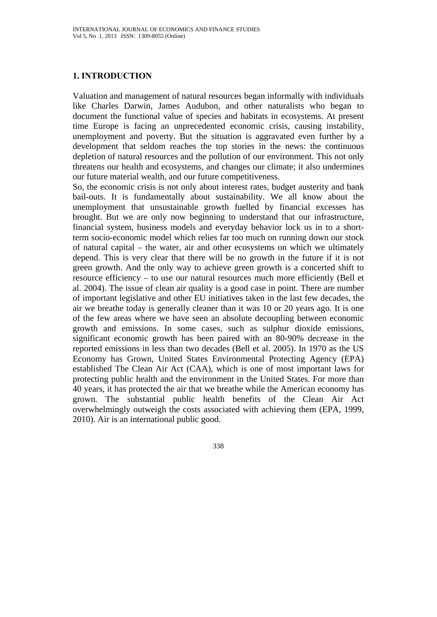# **1. INTRODUCTION**

Valuation and management of natural resources began informally with individuals like Charles Darwin, James Audubon, and other naturalists who began to document the functional value of species and habitats in ecosystems. At present time Europe is facing an unprecedented economic crisis, causing instability, unemployment and poverty. But the situation is aggravated even further by a development that seldom reaches the top stories in the news: the continuous depletion of natural resources and the pollution of our environment. This not only threatens our health and ecosystems, and changes our climate; it also undermines our future material wealth, and our future competitiveness.

So, the economic crisis is not only about interest rates, budget austerity and bank bail-outs. It is fundamentally about sustainability. We all know about the unemployment that unsustainable growth fuelled by financial excesses has brought. But we are only now beginning to understand that our infrastructure, financial system, business models and everyday behavior lock us in to a shortterm socio-economic model which relies far too much on running down our stock of natural capital – the water, air and other ecosystems on which we ultimately depend. This is very clear that there will be no growth in the future if it is not green growth. And the only way to achieve green growth is a concerted shift to resource efficiency – to use our natural resources much more efficiently (Bell et al. 2004). The issue of clean air quality is a good case in point. There are number of important legislative and other EU initiatives taken in the last few decades, the air we breathe today is generally cleaner than it was 10 or 20 years ago. It is one of the few areas where we have seen an absolute decoupling between economic growth and emissions. In some cases, such as sulphur dioxide emissions, significant economic growth has been paired with an 80-90% decrease in the reported emissions in less than two decades (Bell et al. 2005). In 1970 as the US Economy has Grown, United States Environmental Protecting Agency (EPA) established The Clean Air Act (CAA), which is one of most important laws for protecting public health and the environment in the United States. For more than 40 years, it has protected the air that we breathe while the American economy has grown. The substantial public health benefits of the Clean Air Act overwhelmingly outweigh the costs associated with achieving them (EPA, 1999, 2010). Air is an international public good.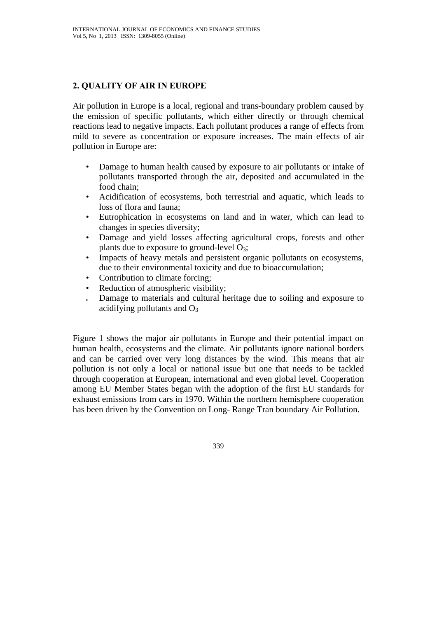# **2. QUALITY OF AIR IN EUROPE**

Air pollution in Europe is a local, regional and trans-boundary problem caused by the emission of specific pollutants, which either directly or through chemical reactions lead to negative impacts. Each pollutant produces a range of effects from mild to severe as concentration or exposure increases. The main effects of air pollution in Europe are:

- Damage to human health caused by exposure to air pollutants or intake of pollutants transported through the air, deposited and accumulated in the food chain;
- Acidification of ecosystems, both terrestrial and aquatic, which leads to loss of flora and fauna;
- Eutrophication in ecosystems on land and in water, which can lead to changes in species diversity;
- Damage and yield losses affecting agricultural crops, forests and other plants due to exposure to ground-level  $O_3$ ;
- Impacts of heavy metals and persistent organic pollutants on ecosystems, due to their environmental toxicity and due to bioaccumulation;
- Contribution to climate forcing;
- Reduction of atmospheric visibility;
- Damage to materials and cultural heritage due to soiling and exposure to acidifying pollutants and  $O_3$

Figure 1 shows the major air pollutants in Europe and their potential impact on human health, ecosystems and the climate. Air pollutants ignore national borders and can be carried over very long distances by the wind. This means that air pollution is not only a local or national issue but one that needs to be tackled through cooperation at European, international and even global level. Cooperation among EU Member States began with the adoption of the first EU standards for exhaust emissions from cars in 1970. Within the northern hemisphere cooperation has been driven by the Convention on Long- Range Tran boundary Air Pollution.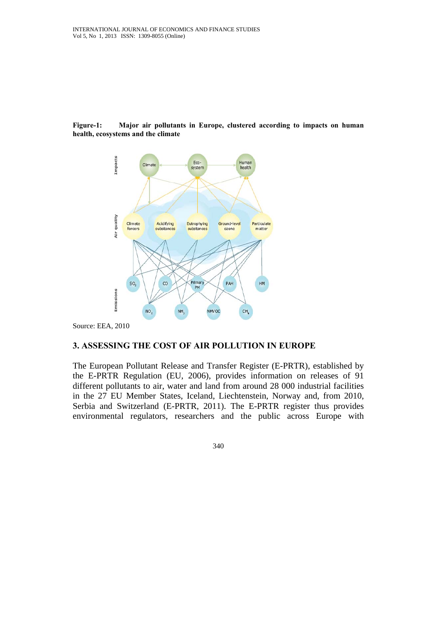#### **Figure-1: Major air pollutants in Europe, clustered according to impacts on human health, ecosystems and the climate**



Source: EEA, 2010

### **3. ASSESSING THE COST OF AIR POLLUTION IN EUROPE**

The European Pollutant Release and Transfer Register (E-PRTR), established by the E-PRTR Regulation (EU, 2006), provides information on releases of 91 different pollutants to air, water and land from around 28 000 industrial facilities in the 27 EU Member States, Iceland, Liechtenstein, Norway and, from 2010, Serbia and Switzerland (E-PRTR, 2011). The E-PRTR register thus provides environmental regulators, researchers and the public across Europe with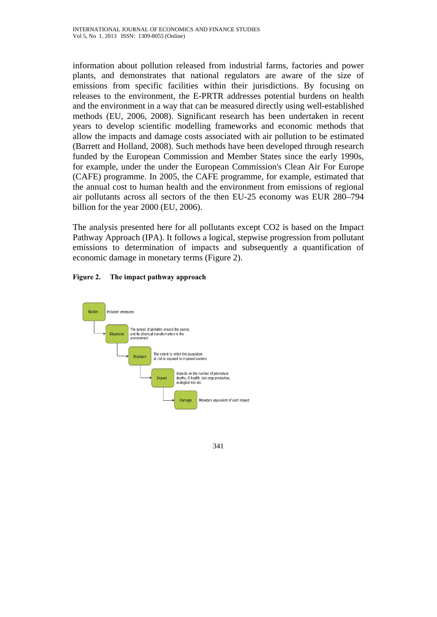information about pollution released from industrial farms, factories and power plants, and demonstrates that national regulators are aware of the size of emissions from specific facilities within their jurisdictions. By focusing on releases to the environment, the E-PRTR addresses potential burdens on health and the environment in a way that can be measured directly using well-established methods (EU, 2006, 2008). Significant research has been undertaken in recent years to develop scientific modelling frameworks and economic methods that allow the impacts and damage costs associated with air pollution to be estimated (Barrett and Holland, 2008). Such methods have been developed through research funded by the European Commission and Member States since the early 1990s, for example, under the under the European Commission's Clean Air For Europe (CAFE) programme. In 2005, the CAFE programme, for example, estimated that the annual cost to human health and the environment from emissions of regional air pollutants across all sectors of the then EU-25 economy was EUR 280–794 billion for the year 2000 (EU, 2006).

The analysis presented here for all pollutants except CO2 is based on the Impact Pathway Approach (IPA). It follows a logical, stepwise progression from pollutant emissions to determination of impacts and subsequently a quantification of economic damage in monetary terms (Figure 2).

### **Figure 2. The impact pathway approach**

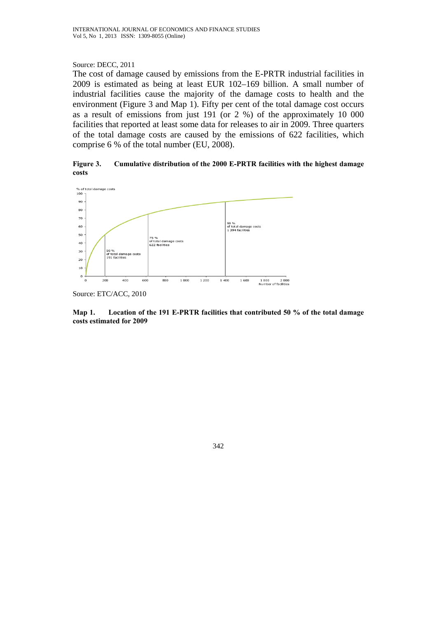#### Source: DECC, 2011

The cost of damage caused by emissions from the E-PRTR industrial facilities in 2009 is estimated as being at least EUR 102–169 billion. A small number of industrial facilities cause the majority of the damage costs to health and the environment (Figure 3 and Map 1). Fifty per cent of the total damage cost occurs as a result of emissions from just 191 (or 2 %) of the approximately 10 000 facilities that reported at least some data for releases to air in 2009. Three quarters of the total damage costs are caused by the emissions of 622 facilities, which comprise 6 % of the total number (EU, 2008).

**Figure 3. Cumulative distribution of the 2000 E-PRTR facilities with the highest damage costs** 



Source: ETC/ACC, 2010

**Map 1. Location of the 191 E-PRTR facilities that contributed 50 % of the total damage costs estimated for 2009**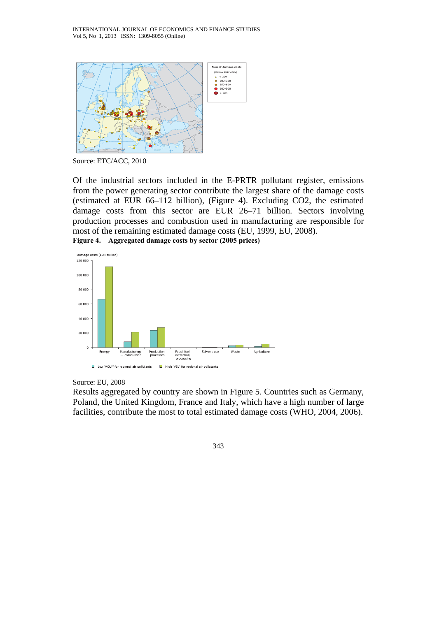

Source: ETC/ACC, 2010

Of the industrial sectors included in the E-PRTR pollutant register, emissions from the power generating sector contribute the largest share of the damage costs (estimated at EUR 66–112 billion), (Figure 4). Excluding CO2, the estimated damage costs from this sector are EUR 26–71 billion. Sectors involving production processes and combustion used in manufacturing are responsible for most of the remaining estimated damage costs (EU, 1999, EU, 2008). **Figure 4. Aggregated damage costs by sector (2005 prices)** 



#### Source: EU, 2008

Results aggregated by country are shown in Figure 5. Countries such as Germany, Poland, the United Kingdom, France and Italy, which have a high number of large facilities, contribute the most to total estimated damage costs (WHO, 2004, 2006).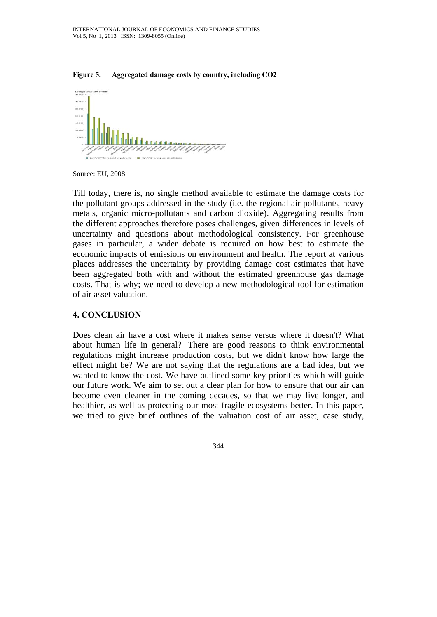



Source: EU, 2008

Till today, there is, no single method available to estimate the damage costs for the pollutant groups addressed in the study (i.e. the regional air pollutants, heavy metals, organic micro-pollutants and carbon dioxide). Aggregating results from the different approaches therefore poses challenges, given differences in levels of uncertainty and questions about methodological consistency. For greenhouse gases in particular, a wider debate is required on how best to estimate the economic impacts of emissions on environment and health. The report at various places addresses the uncertainty by providing damage cost estimates that have been aggregated both with and without the estimated greenhouse gas damage costs. That is why; we need to develop a new methodological tool for estimation of air asset valuation.

### **4. CONCLUSION**

Does clean air have a cost where it makes sense versus where it doesn't? What about human life in general? There are good reasons to think environmental regulations might increase production costs, but we didn't know how large the effect might be? We are not saying that the regulations are a bad idea, but we wanted to know the cost. We have outlined some key priorities which will guide our future work. We aim to set out a clear plan for how to ensure that our air can become even cleaner in the coming decades, so that we may live longer, and healthier, as well as protecting our most fragile ecosystems better. In this paper, we tried to give brief outlines of the valuation cost of air asset, case study,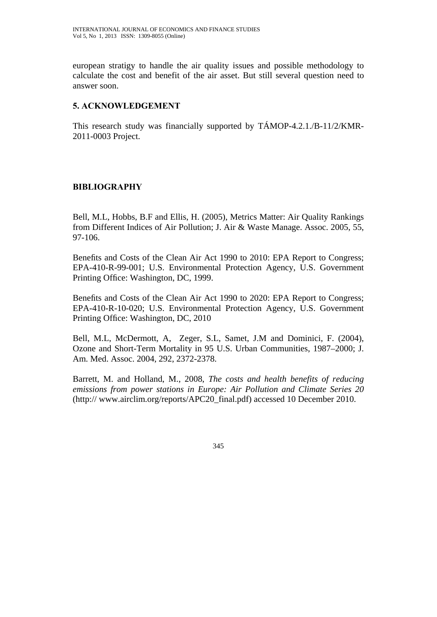european stratigy to handle the air quality issues and possible methodology to calculate the cost and benefit of the air asset. But still several question need to answer soon.

## **5. ACKNOWLEDGEMENT**

This research study was financially supported by TÁMOP-4.2.1./B-11/2/KMR-2011-0003 Project.

# **BIBLIOGRAPHY**

Bell, M.L, Hobbs, B.F and Ellis, H. (2005), Metrics Matter: Air Quality Rankings from Different Indices of Air Pollution; J. Air & Waste Manage. Assoc. 2005, 55, 97-106.

Benefits and Costs of the Clean Air Act 1990 to 2010: EPA Report to Congress; EPA-410-R-99-001; U.S. Environmental Protection Agency, U.S. Government Printing Office: Washington, DC, 1999.

Benefits and Costs of the Clean Air Act 1990 to 2020: EPA Report to Congress; EPA-410-R-10-020; U.S. Environmental Protection Agency, U.S. Government Printing Office: Washington, DC, 2010

Bell, M.L, McDermott, A, Zeger, S.L, Samet, J.M and Dominici, F. (2004), Ozone and Short-Term Mortality in 95 U.S. Urban Communities, 1987–2000; J. Am. Med. Assoc. 2004, 292, 2372-2378.

Barrett, M. and Holland, M., 2008, *The costs and health benefits of reducing emissions from power stations in Europe: Air Pollution and Climate Series 20*  (http:// www.airclim.org/reports/APC20\_final.pdf) accessed 10 December 2010.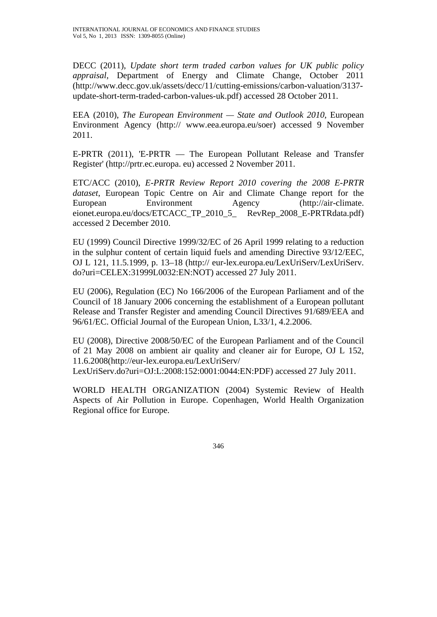DECC (2011), *Update short term traded carbon values for UK public policy appraisal*, Department of Energy and Climate Change, October 2011 (http://www.decc.gov.uk/assets/decc/11/cutting-emissions/carbon-valuation/3137 update-short-term-traded-carbon-values-uk.pdf) accessed 28 October 2011.

EEA (2010), *The European Environment — State and Outlook 2010*, European Environment Agency (http:// www.eea.europa.eu/soer) accessed 9 November 2011.

E-PRTR (2011), 'E-PRTR — The European Pollutant Release and Transfer Register' (http://prtr.ec.europa. eu) accessed 2 November 2011.

ETC/ACC (2010), *E-PRTR Review Report 2010 covering the 2008 E-PRTR dataset*, European Topic Centre on Air and Climate Change report for the European Environment Agency (http://air-climate. eionet.europa.eu/docs/ETCACC\_TP\_2010\_5\_ RevRep\_2008\_E-PRTRdata.pdf) accessed 2 December 2010.

EU (1999) Council Directive 1999/32/EC of 26 April 1999 relating to a reduction in the sulphur content of certain liquid fuels and amending Directive 93/12/EEC, OJ L 121, 11.5.1999, p. 13–18 (http:// eur-lex.europa.eu/LexUriServ/LexUriServ. do?uri=CELEX:31999L0032:EN:NOT) accessed 27 July 2011.

EU (2006), Regulation (EC) No 166/2006 of the European Parliament and of the Council of 18 January 2006 concerning the establishment of a European pollutant Release and Transfer Register and amending Council Directives 91/689/EEA and 96/61/EC. Official Journal of the European Union, L33/1, 4.2.2006.

EU (2008), Directive 2008/50/EC of the European Parliament and of the Council of 21 May 2008 on ambient air quality and cleaner air for Europe, OJ L 152, 11.6.2008(http://eur-lex.europa.eu/LexUriServ/

LexUriServ.do?uri=OJ:L:2008:152:0001:0044:EN:PDF) accessed 27 July 2011.

WORLD HEALTH ORGANIZATION (2004) Systemic Review of Health Aspects of Air Pollution in Europe. Copenhagen, World Health Organization Regional office for Europe.